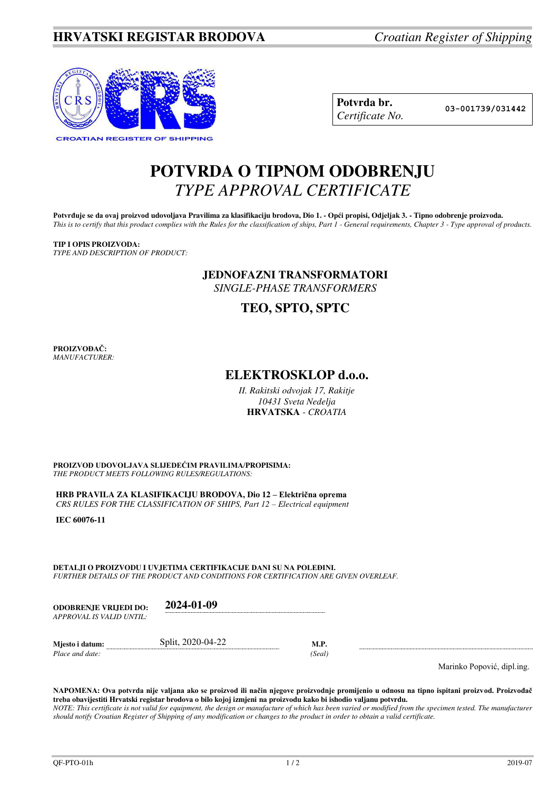## **HRVATSKI REGISTAR BRODOVA** *Croatian Register of Shipping*



| Potvrda br.     |
|-----------------|
| Certificate No. |

**Potvrda br. 03-001739/031442**

# **POTVRDA O TIPNOM ODOBRENJU**  *TYPE APPROVAL CERTIFICATE*

Potvrđuje se da ovaj proizvod udovoljava Pravilima za klasifikaciju brodova, Dio 1. - Opći propisi, Odjeljak 3. - Tipno odobrenje proizvoda. *This is to certify that this product complies with the Rules for the classification of ships, Part 1 - General requirements, Chapter 3 - Type approval of products.* 

#### **TIP I OPIS PROIZVODA:**

*TYPE AND DESCRIPTION OF PRODUCT:* 

#### **JEDNOFAZNI TRANSFORMATORI**

*SINGLE-PHASE TRANSFORMERS* 

## **TEO, SPTO, SPTC**

**PROIZVOĐAČ:** *MANUFACTURER:*

### **ELEKTROSKLOP d.o.o.**

*II. Rakitski odvojak 17, Rakitje 10431 Sveta Nedelja*  **HRVATSKA** - *CROATIA*

**PROIZVOD UDOVOLJAVA SLIJEDEĆIM PRAVILIMA/PROPISIMA:** *THE PRODUCT MEETS FOLLOWING RULES/REGULATIONS:* 

**HRB PRAVILA ZA KLASIFIKACIJU BRODOVA, Dio 12 – Električna oprema** *CRS RULES FOR THE CLASSIFICATION OF SHIPS, Part 12 – Electrical equipment* 

**IEC 60076-11**

**DETALJI O PROIZVODU I UVJETIMA CERTIFIKACIJE DANI SU NA POLEĐINI.** *FURTHER DETAILS OF THE PRODUCT AND CONDITIONS FOR CERTIFICATION ARE GIVEN OVERLEAF.* 

| <b>ODOBRENJE VRLIEDI DO:</b> | 2024-01-09 |
|------------------------------|------------|
| APPROVAL IS VALID UNTIL:     |            |
|                              |            |

*Place and date:* 

**Mjesto i datum: Split, 2020-04-22 M.P.** *Place and date:* (*Seal*)

Marinko Popović, dipl.ing.

**NAPOMENA: Ova potvrda nije valjana ako se proizvod ili način njegove proizvodnje promijenio u odnosu na tipno ispitani proizvod. Proizvođač treba obavijestiti Hrvatski registar brodova o bilo kojoj izmjeni na proizvodu kako bi ishodio valjanu potvrdu.**  *NOTE: This certificate is not valid for equipment, the design or manufacture of which has been varied or modified from the specimen tested. The manufacturer should notify Croatian Register of Shipping of any modification or changes to the product in order to obtain a valid certificate.*